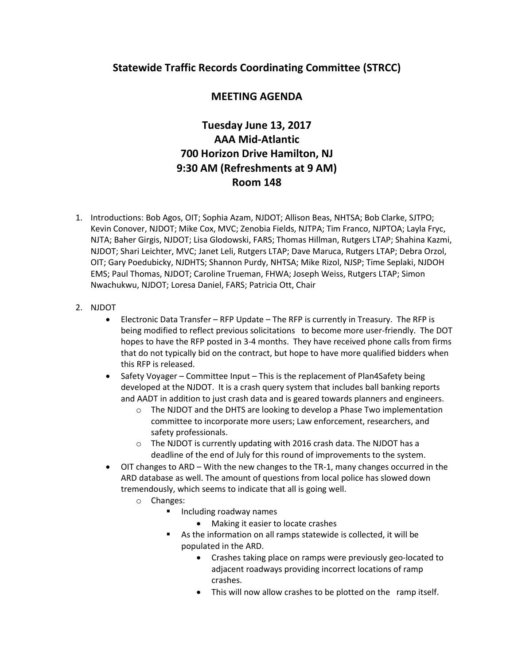## **Statewide Traffic Records Coordinating Committee (STRCC)**

## **MEETING AGENDA**

## **Tuesday June 13, 2017 AAA Mid-Atlantic 700 Horizon Drive Hamilton, NJ 9:30 AM (Refreshments at 9 AM) Room 148**

- 1. Introductions: Bob Agos, OIT; Sophia Azam, NJDOT; Allison Beas, NHTSA; Bob Clarke, SJTPO; Kevin Conover, NJDOT; Mike Cox, MVC; Zenobia Fields, NJTPA; Tim Franco, NJPTOA; Layla Fryc, NJTA; Baher Girgis, NJDOT; Lisa Glodowski, FARS; Thomas Hillman, Rutgers LTAP; Shahina Kazmi, NJDOT; Shari Leichter, MVC; Janet Leli, Rutgers LTAP; Dave Maruca, Rutgers LTAP; Debra Orzol, OIT; Gary Poedubicky, NJDHTS; Shannon Purdy, NHTSA; Mike Rizol, NJSP; Time Seplaki, NJDOH EMS; Paul Thomas, NJDOT; Caroline Trueman, FHWA; Joseph Weiss, Rutgers LTAP; Simon Nwachukwu, NJDOT; Loresa Daniel, FARS; Patricia Ott, Chair
- 2. NJDOT
	- Electronic Data Transfer RFP Update The RFP is currently in Treasury. The RFP is being modified to reflect previous solicitations to become more user-friendly. The DOT hopes to have the RFP posted in 3-4 months. They have received phone calls from firms that do not typically bid on the contract, but hope to have more qualified bidders when this RFP is released.
	- Safety Voyager Committee Input This is the replacement of Plan4Safety being developed at the NJDOT. It is a crash query system that includes ball banking reports and AADT in addition to just crash data and is geared towards planners and engineers.
		- o The NJDOT and the DHTS are looking to develop a Phase Two implementation committee to incorporate more users; Law enforcement, researchers, and safety professionals.
		- o The NJDOT is currently updating with 2016 crash data. The NJDOT has a deadline of the end of July for this round of improvements to the system.
	- OIT changes to ARD With the new changes to the TR-1, many changes occurred in the ARD database as well. The amount of questions from local police has slowed down tremendously, which seems to indicate that all is going well.
		- o Changes:
			- **Including roadway names** 
				- Making it easier to locate crashes
			- As the information on all ramps statewide is collected, it will be populated in the ARD.
				- Crashes taking place on ramps were previously geo-located to adjacent roadways providing incorrect locations of ramp crashes.
				- This will now allow crashes to be plotted on the ramp itself.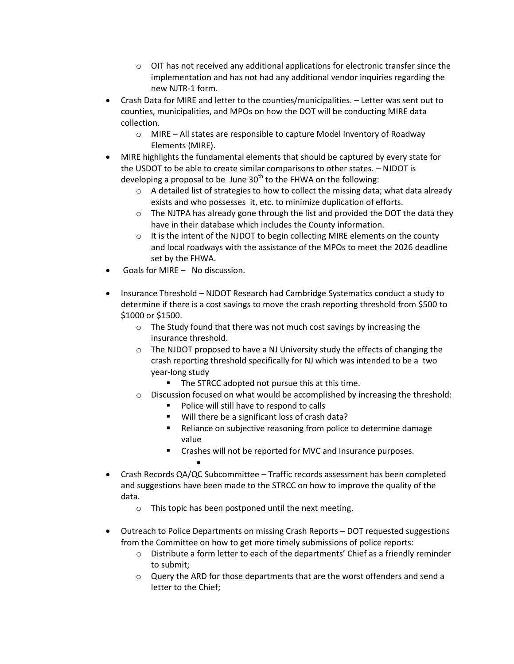- $\circ$  OIT has not received any additional applications for electronic transfer since the implementation and has not had any additional vendor inquiries regarding the new NJTR-1 form.
- Crash Data for MIRE and letter to the counties/municipalities. Letter was sent out to counties, municipalities, and MPOs on how the DOT will be conducting MIRE data collection.
	- o MIRE All states are responsible to capture Model Inventory of Roadway Elements (MIRE).
- MIRE highlights the fundamental elements that should be captured by every state for the USDOT to be able to create similar comparisons to other states. – NJDOT is developing a proposal to be June  $30<sup>th</sup>$  to the FHWA on the following:
	- $\circ$  A detailed list of strategies to how to collect the missing data; what data already exists and who possesses it, etc. to minimize duplication of efforts.
	- $\circ$  The NJTPA has already gone through the list and provided the DOT the data they have in their database which includes the County information.
	- $\circ$  It is the intent of the NJDOT to begin collecting MIRE elements on the county and local roadways with the assistance of the MPOs to meet the 2026 deadline set by the FHWA.
- Goals for MIRE No discussion.
- Insurance Threshold NJDOT Research had Cambridge Systematics conduct a study to determine if there is a cost savings to move the crash reporting threshold from \$500 to \$1000 or \$1500.
	- o The Study found that there was not much cost savings by increasing the insurance threshold.
	- o The NJDOT proposed to have a NJ University study the effects of changing the crash reporting threshold specifically for NJ which was intended to be a two year-long study
		- The STRCC adopted not pursue this at this time.
	- $\circ$  Discussion focused on what would be accomplished by increasing the threshold:
		- **Police will still have to respond to calls**
		- **Will there be a significant loss of crash data?**
		- **•** Reliance on subjective reasoning from police to determine damage value
		- **EXECR** Crashes will not be reported for MVC and Insurance purposes.
- Crash Records QA/QC Subcommittee Traffic records assessment has been completed and suggestions have been made to the STRCC on how to improve the quality of the data.
	- o This topic has been postponed until the next meeting.

 $\bullet$ 

- Outreach to Police Departments on missing Crash Reports DOT requested suggestions from the Committee on how to get more timely submissions of police reports:
	- o Distribute a form letter to each of the departments' Chief as a friendly reminder to submit;
	- o Query the ARD for those departments that are the worst offenders and send a letter to the Chief;